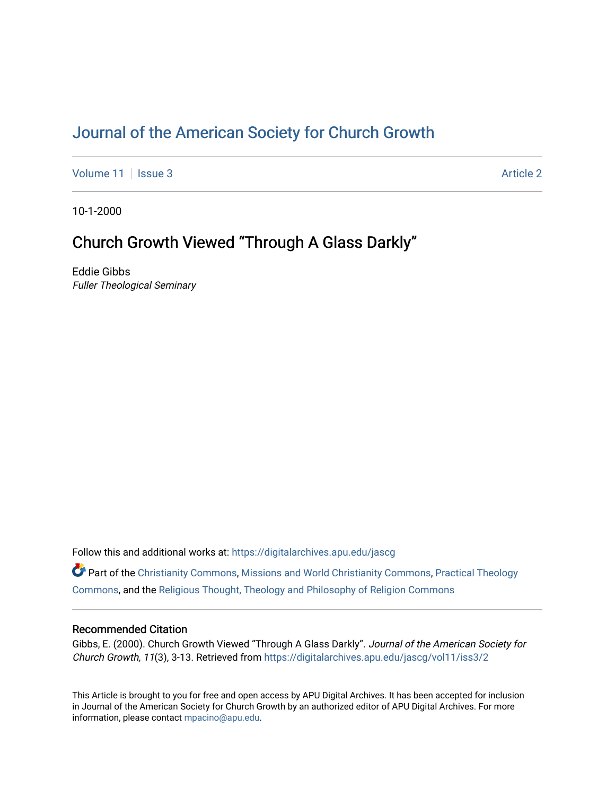# [Journal of the American Society for Church Growth](https://digitalarchives.apu.edu/jascg)

[Volume 11](https://digitalarchives.apu.edu/jascg/vol11) | [Issue 3](https://digitalarchives.apu.edu/jascg/vol11/iss3) Article 2

10-1-2000

# Church Growth Viewed "Through A Glass Darkly"

Eddie Gibbs Fuller Theological Seminary

Follow this and additional works at: [https://digitalarchives.apu.edu/jascg](https://digitalarchives.apu.edu/jascg?utm_source=digitalarchives.apu.edu%2Fjascg%2Fvol11%2Fiss3%2F2&utm_medium=PDF&utm_campaign=PDFCoverPages) 

Part of the [Christianity Commons,](http://network.bepress.com/hgg/discipline/1181?utm_source=digitalarchives.apu.edu%2Fjascg%2Fvol11%2Fiss3%2F2&utm_medium=PDF&utm_campaign=PDFCoverPages) [Missions and World Christianity Commons](http://network.bepress.com/hgg/discipline/1187?utm_source=digitalarchives.apu.edu%2Fjascg%2Fvol11%2Fiss3%2F2&utm_medium=PDF&utm_campaign=PDFCoverPages), [Practical Theology](http://network.bepress.com/hgg/discipline/1186?utm_source=digitalarchives.apu.edu%2Fjascg%2Fvol11%2Fiss3%2F2&utm_medium=PDF&utm_campaign=PDFCoverPages)  [Commons](http://network.bepress.com/hgg/discipline/1186?utm_source=digitalarchives.apu.edu%2Fjascg%2Fvol11%2Fiss3%2F2&utm_medium=PDF&utm_campaign=PDFCoverPages), and the [Religious Thought, Theology and Philosophy of Religion Commons](http://network.bepress.com/hgg/discipline/544?utm_source=digitalarchives.apu.edu%2Fjascg%2Fvol11%2Fiss3%2F2&utm_medium=PDF&utm_campaign=PDFCoverPages) 

# Recommended Citation

Gibbs, E. (2000). Church Growth Viewed "Through A Glass Darkly". Journal of the American Society for Church Growth, 11(3), 3-13. Retrieved from [https://digitalarchives.apu.edu/jascg/vol11/iss3/2](https://digitalarchives.apu.edu/jascg/vol11/iss3/2?utm_source=digitalarchives.apu.edu%2Fjascg%2Fvol11%2Fiss3%2F2&utm_medium=PDF&utm_campaign=PDFCoverPages) 

This Article is brought to you for free and open access by APU Digital Archives. It has been accepted for inclusion in Journal of the American Society for Church Growth by an authorized editor of APU Digital Archives. For more information, please contact [mpacino@apu.edu](mailto:mpacino@apu.edu).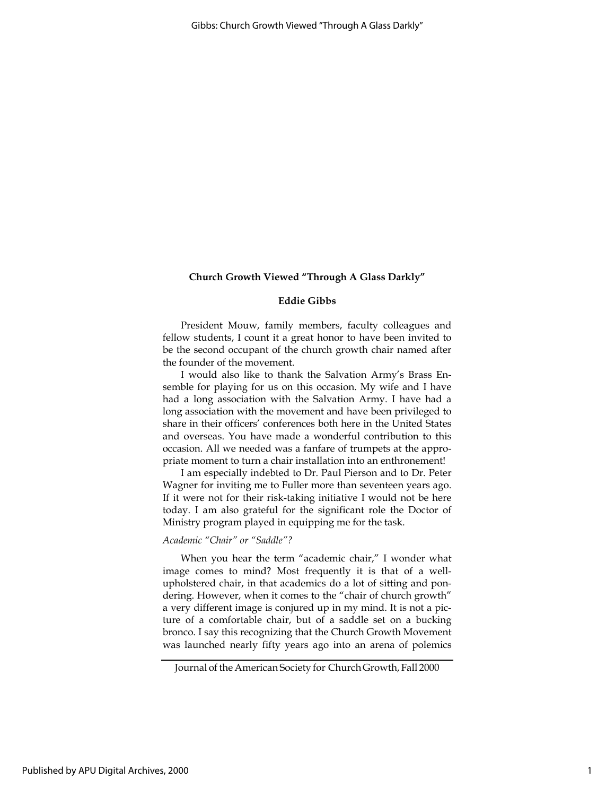## Eddie Gibbs

President Mouw, family members, faculty colleagues and fellow students, I count it a great honor to have been invited to be the second occupant of the church growth chair named after the founder of the movement.

I would also like to thank the Salvation Army's Brass Ensemble for playing for us on this occasion. My wife and I have had a long association with the Salvation Army. I have had a long association with the movement and have been privileged to share in their officers' conferences both here in the United States and overseas. You have made a wonderful contribution to this occasion. All we needed was a fanfare of trumpets at the appropriate moment to turn a chair installation into an enthronement!

I am especially indebted to Dr. Paul Pierson and to Dr. Peter Wagner for inviting me to Fuller more than seventeen years ago. If it were not for their risk-taking initiative I would not be here today. I am also grateful for the significant role the Doctor of Ministry program played in equipping me for the task.

## Academic "Chair" or "Saddle"?

When you hear the term "academic chair," I wonder what image comes to mind? Most frequently it is that of a wellupholstered chair, in that academics do a lot of sitting and pondering. However, when it comes to the "chair of church growth" a very different image is conjured up in my mind. It is not a picture of a comfortable chair, but of a saddle set on a bucking bronco. I say this recognizing that the Church Growth Movement was launched nearly fifty years ago into an arena of polemics

Journal of the American Society for Church Growth, Fall 2000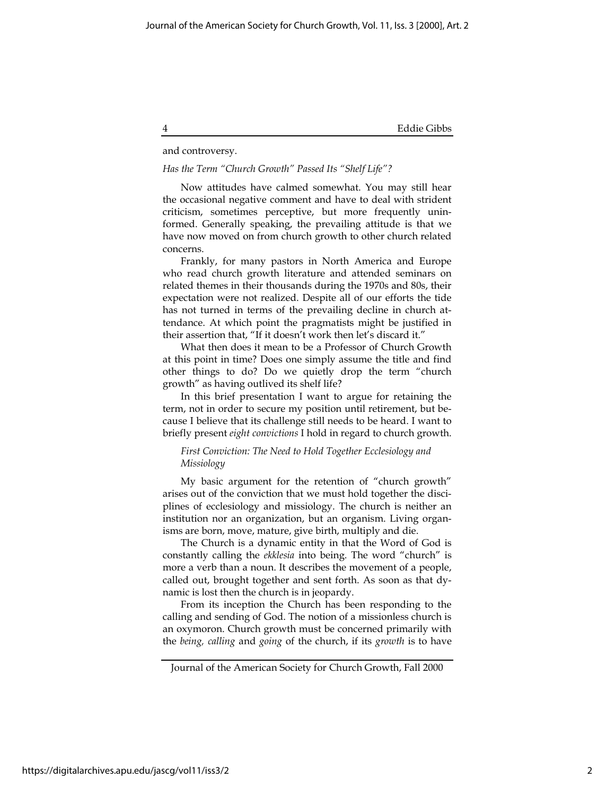### and controversy.

#### Has the Term "Church Growth" Passed Its "Shelf Life"?

Now attitudes have calmed somewhat. You may still hear the occasional negative comment and have to deal with strident criticism, sometimes perceptive, but more frequently uninformed. Generally speaking, the prevailing attitude is that we have now moved on from church growth to other church related concerns.

Frankly, for many pastors in North America and Europe who read church growth literature and attended seminars on related themes in their thousands during the 1970s and 80s, their expectation were not realized. Despite all of our efforts the tide has not turned in terms of the prevailing decline in church attendance. At which point the pragmatists might be justified in their assertion that, "If it doesn't work then let's discard it."

What then does it mean to be a Professor of Church Growth at this point in time? Does one simply assume the title and find other things to do? Do we quietly drop the term "church growth" as having outlived its shelf life?

In this brief presentation I want to argue for retaining the term, not in order to secure my position until retirement, but because I believe that its challenge still needs to be heard. I want to briefly present eight convictions I hold in regard to church growth.

## First Conviction: The Need to Hold Together Ecclesiology and Missiology

My basic argument for the retention of "church growth" arises out of the conviction that we must hold together the disciplines of ecclesiology and missiology. The church is neither an institution nor an organization, but an organism. Living organisms are born, move, mature, give birth, multiply and die.

The Church is a dynamic entity in that the Word of God is constantly calling the ekklesia into being. The word "church" is more a verb than a noun. It describes the movement of a people, called out, brought together and sent forth. As soon as that dynamic is lost then the church is in jeopardy.

From its inception the Church has been responding to the calling and sending of God. The notion of a missionless church is an oxymoron. Church growth must be concerned primarily with the being, calling and going of the church, if its growth is to have

Journal of the American Society for Church Growth, Fall 2000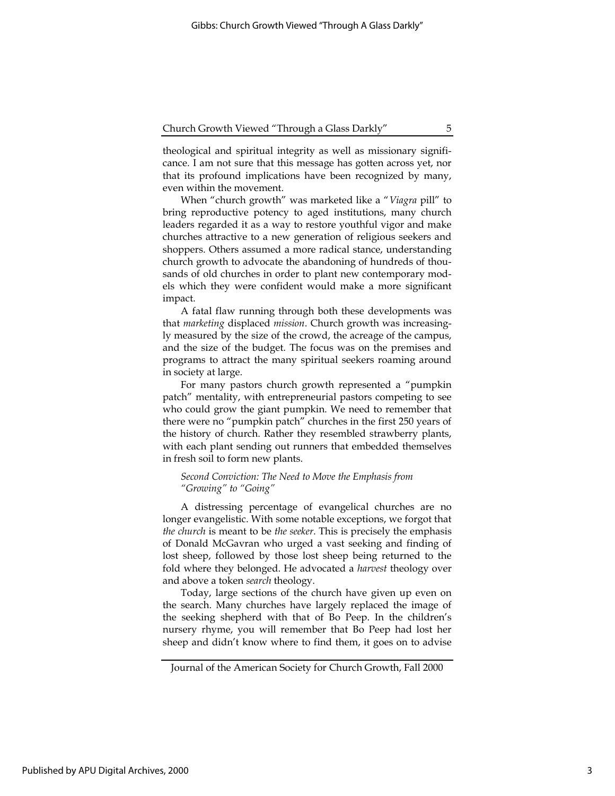theological and spiritual integrity as well as missionary significance. I am not sure that this message has gotten across yet, nor that its profound implications have been recognized by many, even within the movement.

When "church growth" was marketed like a "Viagra pill" to bring reproductive potency to aged institutions, many church leaders regarded it as a way to restore youthful vigor and make churches attractive to a new generation of religious seekers and shoppers. Others assumed a more radical stance, understanding church growth to advocate the abandoning of hundreds of thousands of old churches in order to plant new contemporary models which they were confident would make a more significant impact.

A fatal flaw running through both these developments was that marketing displaced mission. Church growth was increasingly measured by the size of the crowd, the acreage of the campus, and the size of the budget. The focus was on the premises and programs to attract the many spiritual seekers roaming around in society at large.

For many pastors church growth represented a "pumpkin patch" mentality, with entrepreneurial pastors competing to see who could grow the giant pumpkin. We need to remember that there were no "pumpkin patch" churches in the first 250 years of the history of church. Rather they resembled strawberry plants, with each plant sending out runners that embedded themselves in fresh soil to form new plants.

### Second Conviction: The Need to Move the Emphasis from "Growing" to "Going"

A distressing percentage of evangelical churches are no longer evangelistic. With some notable exceptions, we forgot that the church is meant to be the seeker. This is precisely the emphasis of Donald McGavran who urged a vast seeking and finding of lost sheep, followed by those lost sheep being returned to the fold where they belonged. He advocated a harvest theology over and above a token search theology.

Today, large sections of the church have given up even on the search. Many churches have largely replaced the image of the seeking shepherd with that of Bo Peep. In the children's nursery rhyme, you will remember that Bo Peep had lost her sheep and didn't know where to find them, it goes on to advise

Journal of the American Society for Church Growth, Fall 2000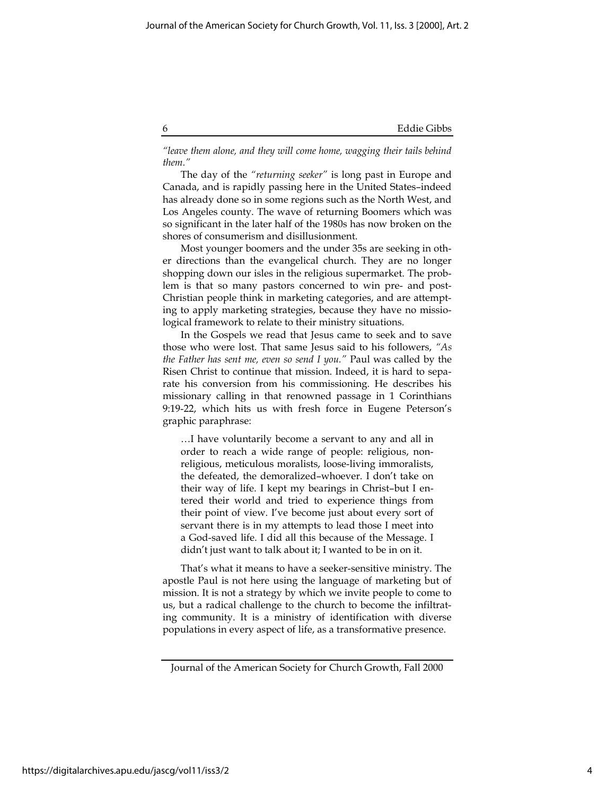"leave them alone, and they will come home, wagging their tails behind them."

The day of the "returning seeker" is long past in Europe and Canada, and is rapidly passing here in the United States–indeed has already done so in some regions such as the North West, and Los Angeles county. The wave of returning Boomers which was so significant in the later half of the 1980s has now broken on the shores of consumerism and disillusionment.

Most younger boomers and the under 35s are seeking in other directions than the evangelical church. They are no longer shopping down our isles in the religious supermarket. The problem is that so many pastors concerned to win pre- and post-Christian people think in marketing categories, and are attempting to apply marketing strategies, because they have no missiological framework to relate to their ministry situations.

In the Gospels we read that Jesus came to seek and to save those who were lost. That same Jesus said to his followers, "As the Father has sent me, even so send I you." Paul was called by the Risen Christ to continue that mission. Indeed, it is hard to separate his conversion from his commissioning. He describes his missionary calling in that renowned passage in 1 Corinthians 9:19-22, which hits us with fresh force in Eugene Peterson's graphic paraphrase:

…I have voluntarily become a servant to any and all in order to reach a wide range of people: religious, nonreligious, meticulous moralists, loose-living immoralists, the defeated, the demoralized–whoever. I don't take on their way of life. I kept my bearings in Christ–but I entered their world and tried to experience things from their point of view. I've become just about every sort of servant there is in my attempts to lead those I meet into a God-saved life. I did all this because of the Message. I didn't just want to talk about it; I wanted to be in on it.

That's what it means to have a seeker-sensitive ministry. The apostle Paul is not here using the language of marketing but of mission. It is not a strategy by which we invite people to come to us, but a radical challenge to the church to become the infiltrating community. It is a ministry of identification with diverse populations in every aspect of life, as a transformative presence.

Journal of the American Society for Church Growth, Fall 2000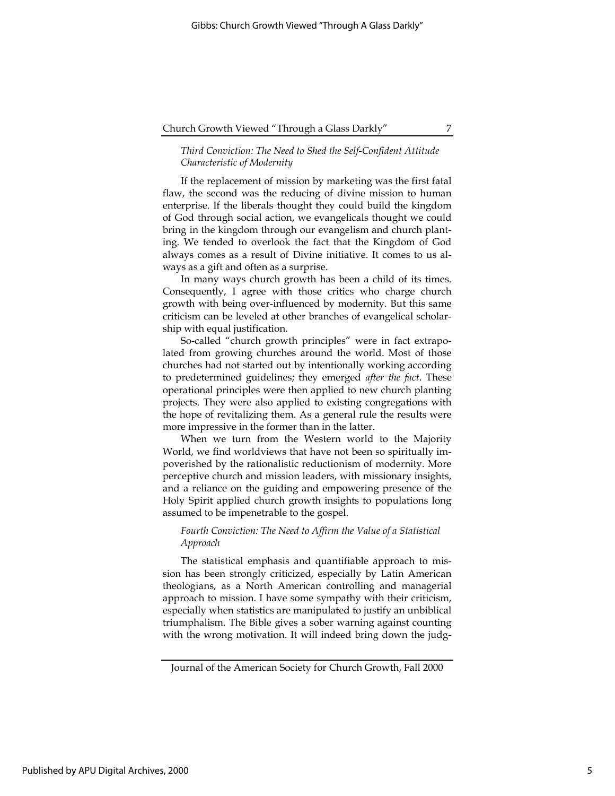### Third Conviction: The Need to Shed the Self-Confident Attitude Characteristic of Modernity

If the replacement of mission by marketing was the first fatal flaw, the second was the reducing of divine mission to human enterprise. If the liberals thought they could build the kingdom of God through social action, we evangelicals thought we could bring in the kingdom through our evangelism and church planting. We tended to overlook the fact that the Kingdom of God always comes as a result of Divine initiative. It comes to us always as a gift and often as a surprise.

In many ways church growth has been a child of its times. Consequently, I agree with those critics who charge church growth with being over-influenced by modernity. But this same criticism can be leveled at other branches of evangelical scholarship with equal justification.

So-called "church growth principles" were in fact extrapolated from growing churches around the world. Most of those churches had not started out by intentionally working according to predetermined guidelines; they emerged after the fact. These operational principles were then applied to new church planting projects. They were also applied to existing congregations with the hope of revitalizing them. As a general rule the results were more impressive in the former than in the latter.

When we turn from the Western world to the Majority World, we find worldviews that have not been so spiritually impoverished by the rationalistic reductionism of modernity. More perceptive church and mission leaders, with missionary insights, and a reliance on the guiding and empowering presence of the Holy Spirit applied church growth insights to populations long assumed to be impenetrable to the gospel.

## Fourth Conviction: The Need to Affirm the Value of a Statistical Approach

The statistical emphasis and quantifiable approach to mission has been strongly criticized, especially by Latin American theologians, as a North American controlling and managerial approach to mission. I have some sympathy with their criticism, especially when statistics are manipulated to justify an unbiblical triumphalism. The Bible gives a sober warning against counting with the wrong motivation. It will indeed bring down the judg-

Journal of the American Society for Church Growth, Fall 2000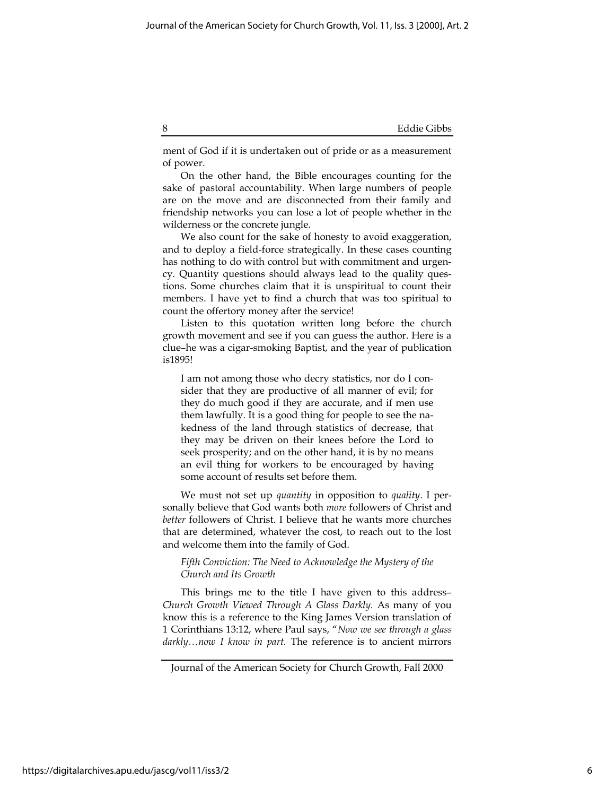ment of God if it is undertaken out of pride or as a measurement of power.

On the other hand, the Bible encourages counting for the sake of pastoral accountability. When large numbers of people are on the move and are disconnected from their family and friendship networks you can lose a lot of people whether in the wilderness or the concrete jungle.

We also count for the sake of honesty to avoid exaggeration, and to deploy a field-force strategically. In these cases counting has nothing to do with control but with commitment and urgency. Quantity questions should always lead to the quality questions. Some churches claim that it is unspiritual to count their members. I have yet to find a church that was too spiritual to count the offertory money after the service!

Listen to this quotation written long before the church growth movement and see if you can guess the author. Here is a clue–he was a cigar-smoking Baptist, and the year of publication is1895!

I am not among those who decry statistics, nor do I consider that they are productive of all manner of evil; for they do much good if they are accurate, and if men use them lawfully. It is a good thing for people to see the nakedness of the land through statistics of decrease, that they may be driven on their knees before the Lord to seek prosperity; and on the other hand, it is by no means an evil thing for workers to be encouraged by having some account of results set before them.

We must not set up *quantity* in opposition to *quality*. I personally believe that God wants both more followers of Christ and better followers of Christ. I believe that he wants more churches that are determined, whatever the cost, to reach out to the lost and welcome them into the family of God.

## Fifth Conviction: The Need to Acknowledge the Mystery of the Church and Its Growth

This brings me to the title I have given to this address– Church Growth Viewed Through A Glass Darkly. As many of you know this is a reference to the King James Version translation of 1 Corinthians 13:12, where Paul says, "Now we see through a glass darkly...now I know in part. The reference is to ancient mirrors

Journal of the American Society for Church Growth, Fall 2000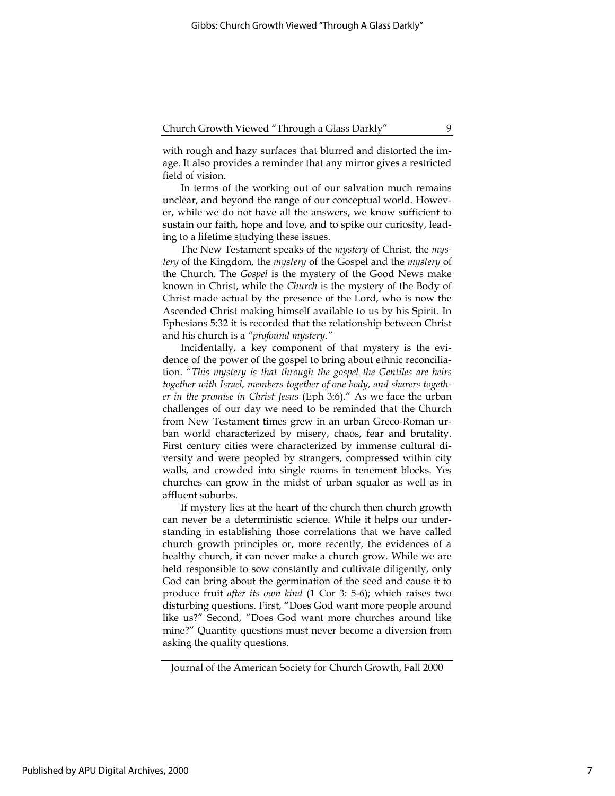with rough and hazy surfaces that blurred and distorted the image. It also provides a reminder that any mirror gives a restricted field of vision.

In terms of the working out of our salvation much remains unclear, and beyond the range of our conceptual world. However, while we do not have all the answers, we know sufficient to sustain our faith, hope and love, and to spike our curiosity, leading to a lifetime studying these issues.

The New Testament speaks of the *mystery* of Christ, the *mys*tery of the Kingdom, the mystery of the Gospel and the mystery of the Church. The Gospel is the mystery of the Good News make known in Christ, while the Church is the mystery of the Body of Christ made actual by the presence of the Lord, who is now the Ascended Christ making himself available to us by his Spirit. In Ephesians 5:32 it is recorded that the relationship between Christ and his church is a "profound mystery."

Incidentally, a key component of that mystery is the evidence of the power of the gospel to bring about ethnic reconciliation. "This mystery is that through the gospel the Gentiles are heirs together with Israel, members together of one body, and sharers together in the promise in Christ Jesus (Eph 3:6)." As we face the urban challenges of our day we need to be reminded that the Church from New Testament times grew in an urban Greco-Roman urban world characterized by misery, chaos, fear and brutality. First century cities were characterized by immense cultural diversity and were peopled by strangers, compressed within city walls, and crowded into single rooms in tenement blocks. Yes churches can grow in the midst of urban squalor as well as in affluent suburbs.

If mystery lies at the heart of the church then church growth can never be a deterministic science. While it helps our understanding in establishing those correlations that we have called church growth principles or, more recently, the evidences of a healthy church, it can never make a church grow. While we are held responsible to sow constantly and cultivate diligently, only God can bring about the germination of the seed and cause it to produce fruit after its own kind (1 Cor 3: 5-6); which raises two disturbing questions. First, "Does God want more people around like us?" Second, "Does God want more churches around like mine?" Quantity questions must never become a diversion from asking the quality questions.

Journal of the American Society for Church Growth, Fall 2000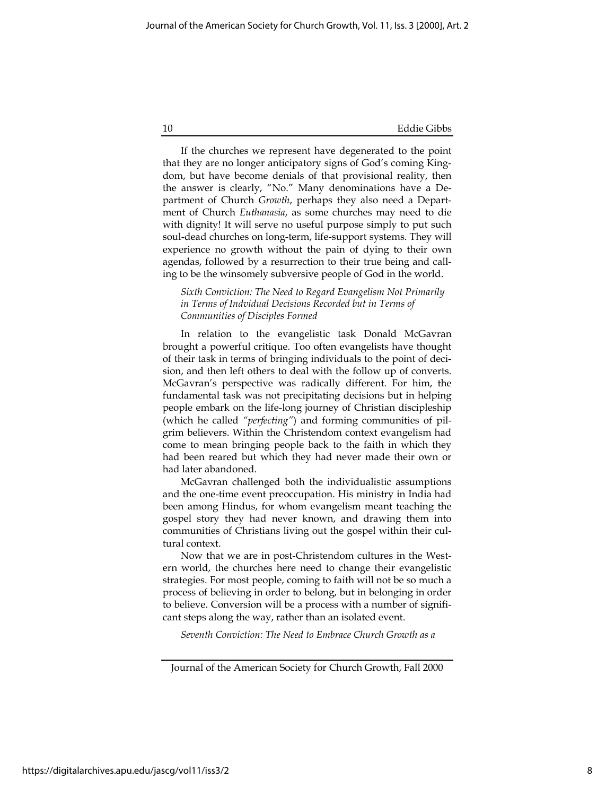If the churches we represent have degenerated to the point that they are no longer anticipatory signs of God's coming Kingdom, but have become denials of that provisional reality, then the answer is clearly, "No." Many denominations have a Department of Church Growth, perhaps they also need a Department of Church Euthanasia, as some churches may need to die with dignity! It will serve no useful purpose simply to put such soul-dead churches on long-term, life-support systems. They will experience no growth without the pain of dying to their own agendas, followed by a resurrection to their true being and calling to be the winsomely subversive people of God in the world.

Sixth Conviction: The Need to Regard Evangelism Not Primarily in Terms of Indvidual Decisions Recorded but in Terms of Communities of Disciples Formed

In relation to the evangelistic task Donald McGavran brought a powerful critique. Too often evangelists have thought of their task in terms of bringing individuals to the point of decision, and then left others to deal with the follow up of converts. McGavran's perspective was radically different. For him, the fundamental task was not precipitating decisions but in helping people embark on the life-long journey of Christian discipleship (which he called "perfecting") and forming communities of pilgrim believers. Within the Christendom context evangelism had come to mean bringing people back to the faith in which they had been reared but which they had never made their own or had later abandoned.

McGavran challenged both the individualistic assumptions and the one-time event preoccupation. His ministry in India had been among Hindus, for whom evangelism meant teaching the gospel story they had never known, and drawing them into communities of Christians living out the gospel within their cultural context.

Now that we are in post-Christendom cultures in the Western world, the churches here need to change their evangelistic strategies. For most people, coming to faith will not be so much a process of believing in order to belong, but in belonging in order to believe. Conversion will be a process with a number of significant steps along the way, rather than an isolated event.

Seventh Conviction: The Need to Embrace Church Growth as a

Journal of the American Society for Church Growth, Fall 2000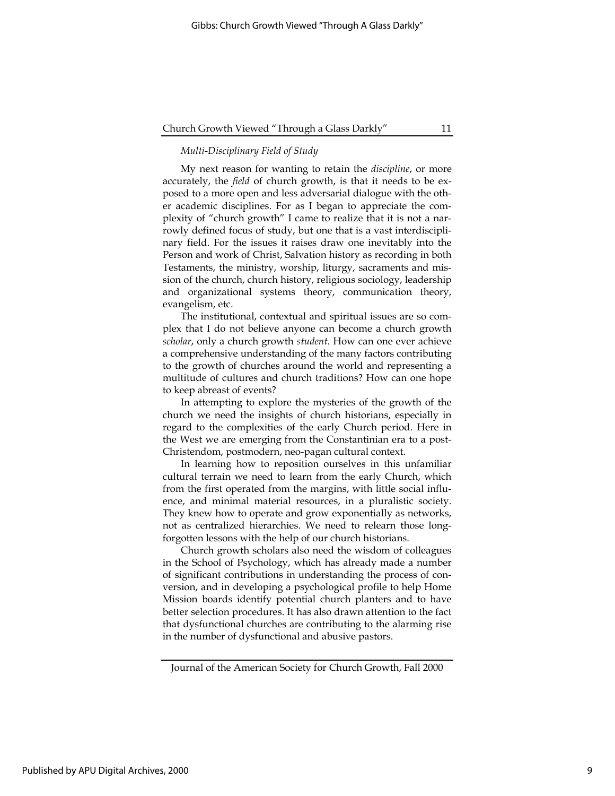# Multi-Disciplinary Field of Study

My next reason for wanting to retain the discipline, or more accurately, the field of church growth, is that it needs to be exposed to a more open and less adversarial dialogue with the other academic disciplines. For as I began to appreciate the complexity of "church growth" I came to realize that it is not a narrowly defined focus of study, but one that is a vast interdisciplinary field. For the issues it raises draw one inevitably into the Person and work of Christ, Salvation history as recording in both Testaments, the ministry, worship, liturgy, sacraments and mission of the church, church history, religious sociology, leadership and organizational systems theory, communication theory, evangelism, etc.

The institutional, contextual and spiritual issues are so complex that I do not believe anyone can become a church growth scholar, only a church growth student. How can one ever achieve a comprehensive understanding of the many factors contributing to the growth of churches around the world and representing a multitude of cultures and church traditions? How can one hope to keep abreast of events?

In attempting to explore the mysteries of the growth of the church we need the insights of church historians, especially in regard to the complexities of the early Church period. Here in the West we are emerging from the Constantinian era to a post-Christendom, postmodern, neo-pagan cultural context.

In learning how to reposition ourselves in this unfamiliar cultural terrain we need to learn from the early Church, which from the first operated from the margins, with little social influence, and minimal material resources, in a pluralistic society. They knew how to operate and grow exponentially as networks, not as centralized hierarchies. We need to relearn those longforgotten lessons with the help of our church historians.

Church growth scholars also need the wisdom of colleagues in the School of Psychology, which has already made a number of significant contributions in understanding the process of conversion, and in developing a psychological profile to help Home Mission boards identify potential church planters and to have better selection procedures. It has also drawn attention to the fact that dysfunctional churches are contributing to the alarming rise in the number of dysfunctional and abusive pastors.

Journal of the American Society for Church Growth, Fall 2000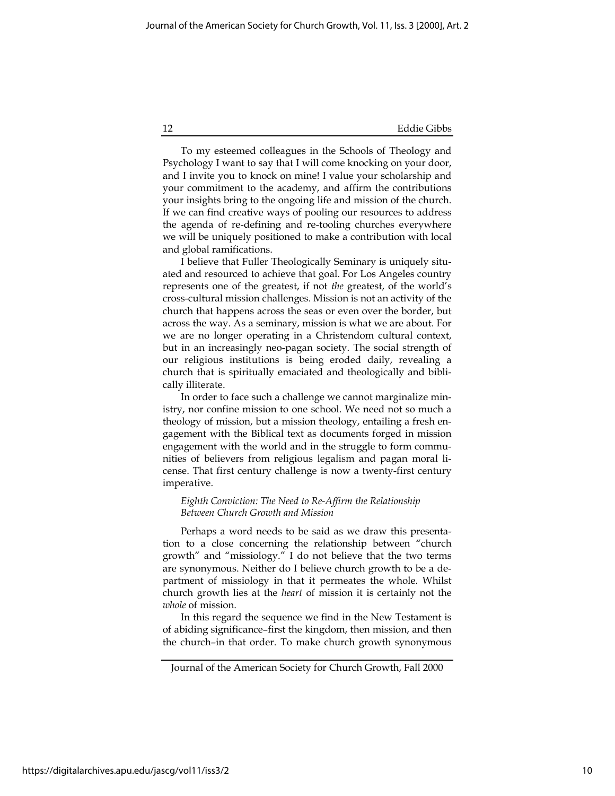To my esteemed colleagues in the Schools of Theology and Psychology I want to say that I will come knocking on your door, and I invite you to knock on mine! I value your scholarship and your commitment to the academy, and affirm the contributions your insights bring to the ongoing life and mission of the church. If we can find creative ways of pooling our resources to address the agenda of re-defining and re-tooling churches everywhere we will be uniquely positioned to make a contribution with local and global ramifications.

I believe that Fuller Theologically Seminary is uniquely situated and resourced to achieve that goal. For Los Angeles country represents one of the greatest, if not the greatest, of the world's cross-cultural mission challenges. Mission is not an activity of the church that happens across the seas or even over the border, but across the way. As a seminary, mission is what we are about. For we are no longer operating in a Christendom cultural context, but in an increasingly neo-pagan society. The social strength of our religious institutions is being eroded daily, revealing a church that is spiritually emaciated and theologically and biblically illiterate.

In order to face such a challenge we cannot marginalize ministry, nor confine mission to one school. We need not so much a theology of mission, but a mission theology, entailing a fresh engagement with the Biblical text as documents forged in mission engagement with the world and in the struggle to form communities of believers from religious legalism and pagan moral license. That first century challenge is now a twenty-first century imperative.

#### Eighth Conviction: The Need to Re-Affirm the Relationship Between Church Growth and Mission

Perhaps a word needs to be said as we draw this presentation to a close concerning the relationship between "church growth" and "missiology." I do not believe that the two terms are synonymous. Neither do I believe church growth to be a department of missiology in that it permeates the whole. Whilst church growth lies at the heart of mission it is certainly not the whole of mission.

In this regard the sequence we find in the New Testament is of abiding significance–first the kingdom, then mission, and then the church–in that order. To make church growth synonymous

Journal of the American Society for Church Growth, Fall 2000